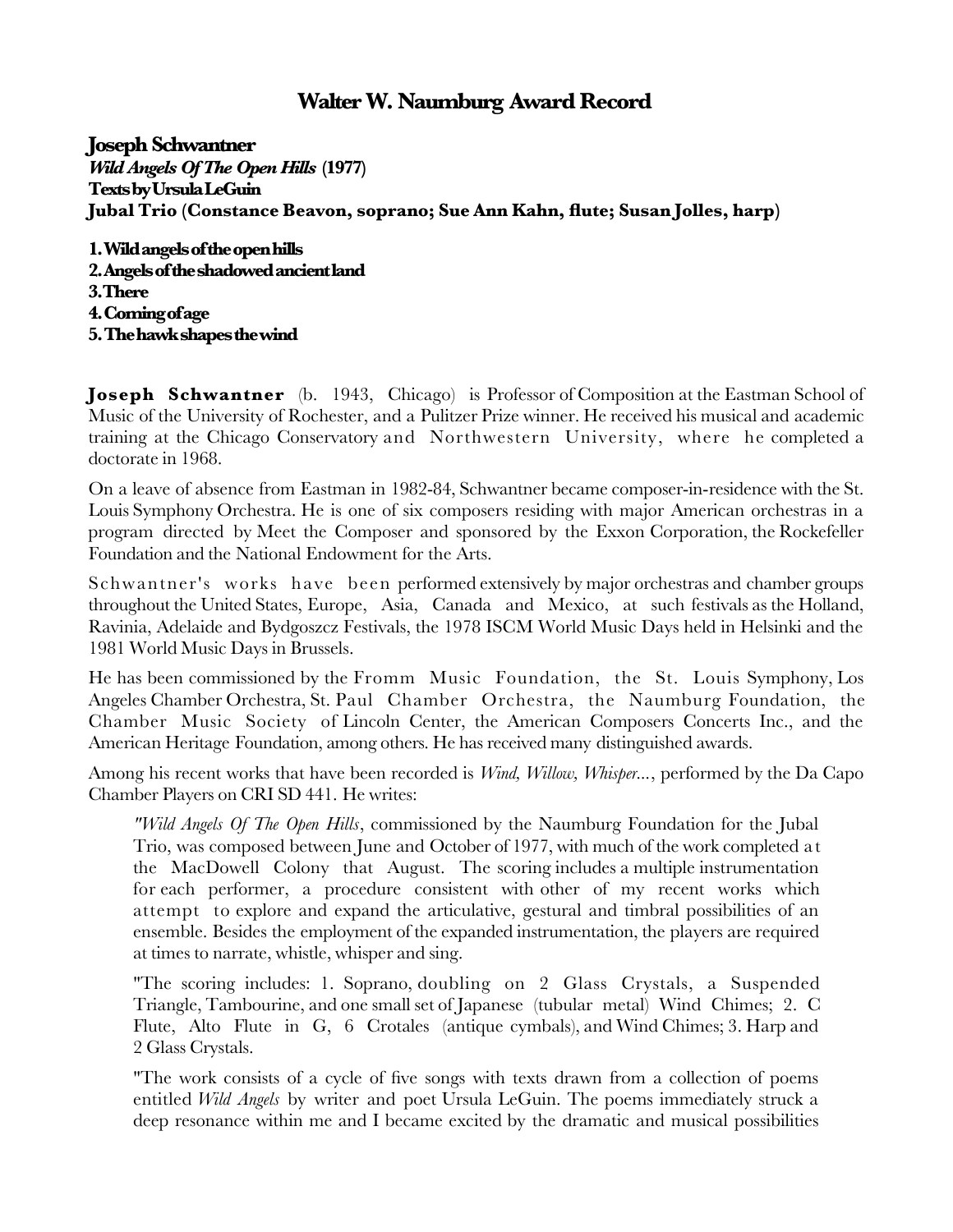## **Walter W. Naumburg Award Record**

**Joseph Schwantner** *Wild Angels Of The Open Hills* **(1977) Texts by Ursula LeGuin Jubal Trio (Constance Beavon, soprano; Sue Ann Kahn, fute; Susan Jolles, harp)**

**1. Wild angels of the open hills 2. Angels of the shadowed ancient land 3. There 4. Coming of age 5. The hawk shapes the wind**

**Joseph Schwantner** (b. 1943, Chicago) is Professor of Composition at the Eastman School of Music of the University of Rochester, and a Pulitzer Prize winner. He received his musical and academic training at the Chicago Conservatory and Northwestern University, where he completed a doctorate in 1968.

On a leave of absence from Eastman in 1982-84, Schwantner became composer-in-residence with the St. Louis Symphony Orchestra. He is one of six composers residing with major American orchestras in a program directed by Meet the Composer and sponsored by the Exxon Corporation, the Rockefeller Foundation and the National Endowment for the Arts.

Schwantner's works have been performed extensively by major orchestras and chamber groups throughout the United States, Europe, Asia, Canada and Mexico, at such festivals as the Holland, Ravinia, Adelaide and Bydgoszcz Festivals, the 1978 ISCM World Music Days held in Helsinki and the 1981 World Music Days in Brussels.

He has been commissioned by the Fromm Music Foundation, the St. Louis Symphony, Los Angeles Chamber Orchestra, St. Paul Chamber Orchestra, the Naumburg Foundation, the Chamber Music Society of Lincoln Center, the American Composers Concerts Inc., and the American Heritage Foundation, among others. He has received many distinguished awards.

Among his recent works that have been recorded is *Wind, Willow, Whisper...*, performed by the Da Capo Chamber Players on CRI SD 441. He writes:

*"Wild Angels Of The Open Hills*, commissioned by the Naumburg Foundation for the Jubal Trio, was composed between June and October of 1977, with much of the work completed a t the MacDowell Colony that August. The scoring includes a multiple instrumentation for each performer, a procedure consistent with other of my recent works which attempt to explore and expand the articulative, gestural and timbral possibilities of an ensemble. Besides the employment of the expanded instrumentation, the players are required at times to narrate, whistle, whisper and sing.

"The scoring includes: 1. Soprano, doubling on 2 Glass Crystals, a Suspended Triangle, Tambourine, and one small set of Japanese (tubular metal) Wind Chimes; 2. C Flute, Alto Flute in G, 6 Crotales (antique cymbals), and Wind Chimes; 3. Harp and 2 Glass Crystals.

"The work consists of a cycle of fve songs with texts drawn from a collection of poems entitled *Wild Angels* by writer and poet Ursula LeGuin. The poems immediately struck a deep resonance within me and I became excited by the dramatic and musical possibilities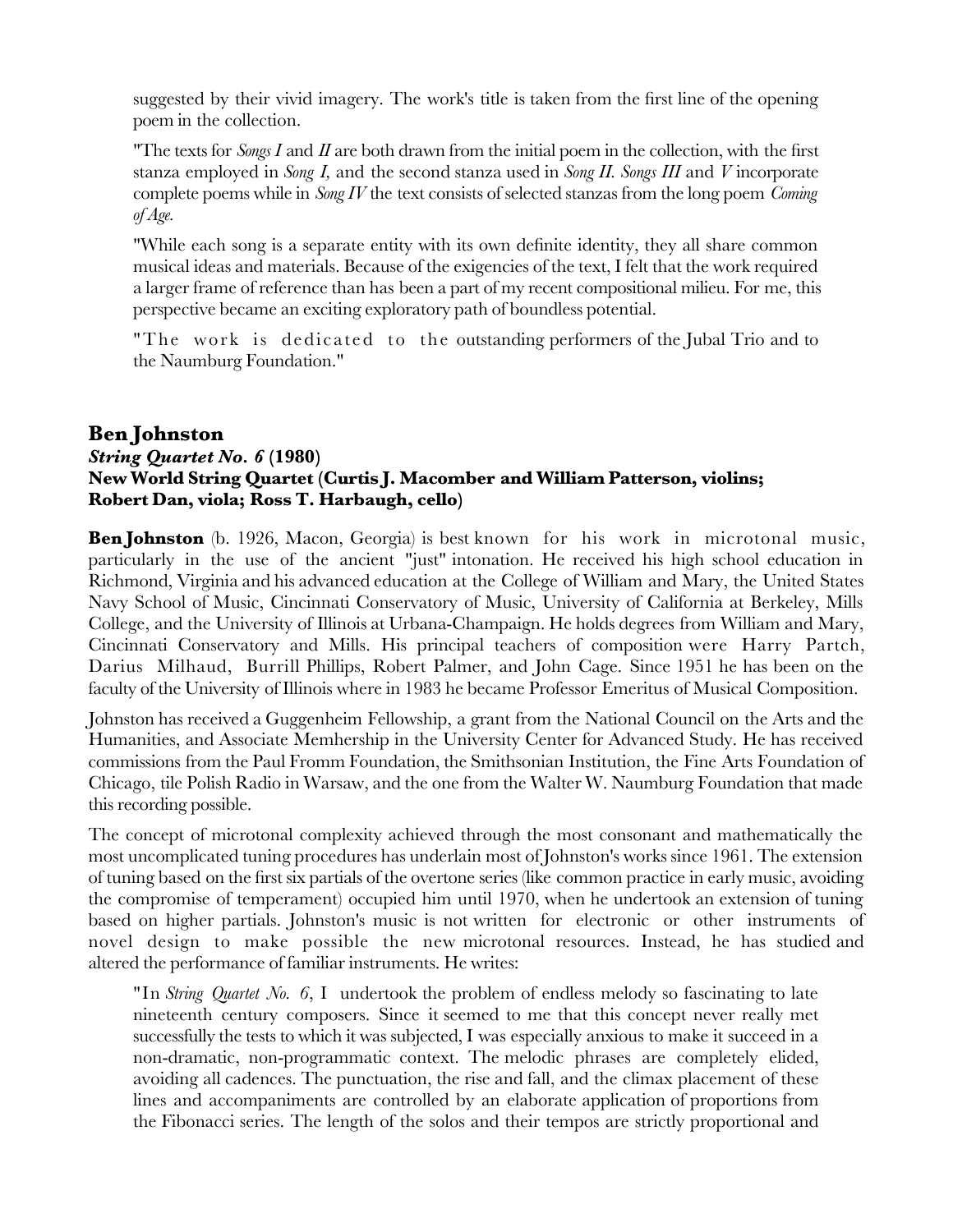suggested by their vivid imagery. The work's title is taken from the frst line of the opening poem in the collection.

"The texts for *Songs I* and *II* are both drawn from the initial poem in the collection, with the frst stanza employed in *Song I,* and the second stanza used in *Song II. Songs III* and *V* incorporate complete poems while in *Song IV* the text consists of selected stanzas from the long poem *Coming of Age.*

"While each song is a separate entity with its own defnite identity, they all share common musical ideas and materials. Because of the exigencies of the text, I felt that the work required a larger frame of reference than has been a part of my recent compositional milieu. For me, this perspective became an exciting exploratory path of boundless potential.

"The work is dedicated to the outstanding performers of the Jubal Trio and to the Naumburg Foundation."

## **Ben Johnston** *String Quartet No. 6* **(1980) New World String Quartet (Curtis J. Macomber and William Patterson, violins; Robert Dan, viola; Ross T. Harbaugh, cello)**

**Ben Johnston** (b. 1926, Macon, Georgia) is best known for his work in microtonal music, particularly in the use of the ancient "just" intonation. He received his high school education in Richmond, Virginia and his advanced education at the College of William and Mary, the United States Navy School of Music, Cincinnati Conservatory of Music, University of California at Berkeley, Mills College, and the University of Illinois at Urbana-Champaign. He holds degrees from William and Mary, Cincinnati Conservatory and Mills. His principal teachers of composition were Harry Partch, Darius Milhaud, Burrill Phillips, Robert Palmer, and John Cage. Since 1951 he has been on the faculty of the University of Illinois where in 1983 he became Professor Emeritus of Musical Composition.

Johnston has received a Guggenheim Fellowship, a grant from the National Council on the Arts and the Humanities, and Associate Memhership in the University Center for Advanced Study. He has received commissions from the Paul Fromm Foundation, the Smithsonian Institution, the Fine Arts Foundation of Chicago, tile Polish Radio in Warsaw, and the one from the Walter W. Naumburg Foundation that made this recording possible.

The concept of microtonal complexity achieved through the most consonant and mathematically the most uncomplicated tuning procedures has underlain most of Johnston's works since 1961. The extension of tuning based on the frst six partials of the overtone series (like common practice in early music, avoiding the compromise of temperament) occupied him until 1970, when he undertook an extension of tuning based on higher partials. Johnston's music is not written for electronic or other instruments of novel design to make possible the new microtonal resources. Instead, he has studied and altered the performance of familiar instruments. He writes:

"In *String Quartet No. 6*, I undertook the problem of endless melody so fascinating to late nineteenth century composers. Since it seemed to me that this concept never really met successfully the tests to which it was subjected, I was especially anxious to make it succeed in a non-dramatic, non-programmatic context. The melodic phrases are completely elided, avoiding all cadences. The punctuation, the rise and fall, and the climax placement of these lines and accompaniments are controlled by an elaborate application of proportions from the Fibonacci series. The length of the solos and their tempos are strictly proportional and